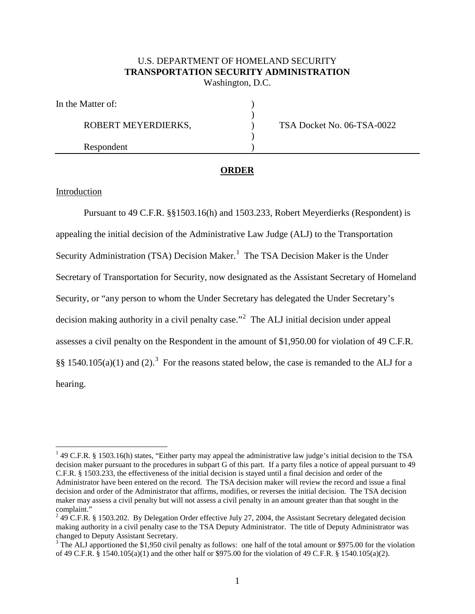## U.S. DEPARTMENT OF HOMELAND SECURITY **TRANSPORTATION SECURITY ADMINISTRATION** Washington, D.C.

| In the Matter of:   |                            |
|---------------------|----------------------------|
| ROBERT MEYERDIERKS, | TSA Docket No. 06-TSA-0022 |
|                     |                            |
| Respondent          |                            |

# **ORDER**

### Introduction

Pursuant to 49 C.F.R. §§1503.16(h) and 1503.233, Robert Meyerdierks (Respondent) is appealing the initial decision of the Administrative Law Judge (ALJ) to the Transportation Security Administration (TSA) Decision Maker.<sup>1</sup> The TSA Decision Maker is the Under Secretary of Transportation for Security, now designated as the Assistant Secretary of Homeland Security, or "any person to whom the Under Secretary has delegated the Under Secretary's decision making authority in a civil penalty case."<sup>2</sup> The ALJ initial decision under appeal assesses a civil penalty on the Respondent in the amount of \$1,950.00 for violation of 49 C.F.R. §§ 1540.105(a)(1) and (2).<sup>3</sup> For the reasons stated below, the case is remanded to the ALJ for a hearing.

<sup>&</sup>lt;sup>1</sup> 49 C.F.R. § 1503.16(h) states, "Either party may appeal the administrative law judge's initial decision to the TSA decision maker pursuant to the procedures in subpart G of this part. If a party files a notice of appeal pursuant to 49 C.F.R. § 1503.233, the effectiveness of the initial decision is stayed until a final decision and order of the Administrator have been entered on the record. The TSA decision maker will review the record and issue a final decision and order of the Administrator that affirms, modifies, or reverses the initial decision. The TSA decision maker may assess a civil penalty but will not assess a civil penalty in an amount greater than that sought in the complaint."

 $249$  C.F.R. § 1503.202. By Delegation Order effective July 27, 2004, the Assistant Secretary delegated decision making authority in a civil penalty case to the TSA Deputy Administrator. The title of Deputy Administrator was changed to Deputy Assistant Secretary.<br><sup>3</sup> The ALJ apportioned the \$1,950 civil penalty as follows: one half of the total amount or \$975.00 for the violation

of 49 C.F.R. § 1540.105(a)(1) and the other half or \$975.00 for the violation of 49 C.F.R. § 1540.105(a)(2).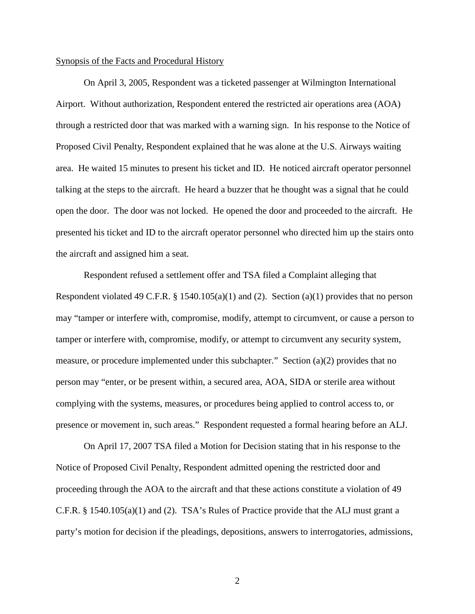#### Synopsis of the Facts and Procedural History

On April 3, 2005, Respondent was a ticketed passenger at Wilmington International Airport. Without authorization, Respondent entered the restricted air operations area (AOA) through a restricted door that was marked with a warning sign. In his response to the Notice of Proposed Civil Penalty, Respondent explained that he was alone at the U.S. Airways waiting area. He waited 15 minutes to present his ticket and ID. He noticed aircraft operator personnel talking at the steps to the aircraft. He heard a buzzer that he thought was a signal that he could open the door. The door was not locked. He opened the door and proceeded to the aircraft. He presented his ticket and ID to the aircraft operator personnel who directed him up the stairs onto the aircraft and assigned him a seat.

Respondent refused a settlement offer and TSA filed a Complaint alleging that Respondent violated 49 C.F.R. § 1540.105(a)(1) and (2). Section (a)(1) provides that no person may "tamper or interfere with, compromise, modify, attempt to circumvent, or cause a person to tamper or interfere with, compromise, modify, or attempt to circumvent any security system, measure, or procedure implemented under this subchapter." Section (a)(2) provides that no person may "enter, or be present within, a secured area, AOA, SIDA or sterile area without complying with the systems, measures, or procedures being applied to control access to, or presence or movement in, such areas." Respondent requested a formal hearing before an ALJ.

On April 17, 2007 TSA filed a Motion for Decision stating that in his response to the Notice of Proposed Civil Penalty, Respondent admitted opening the restricted door and proceeding through the AOA to the aircraft and that these actions constitute a violation of 49 C.F.R. § 1540.105(a)(1) and (2). TSA's Rules of Practice provide that the ALJ must grant a party's motion for decision if the pleadings, depositions, answers to interrogatories, admissions,